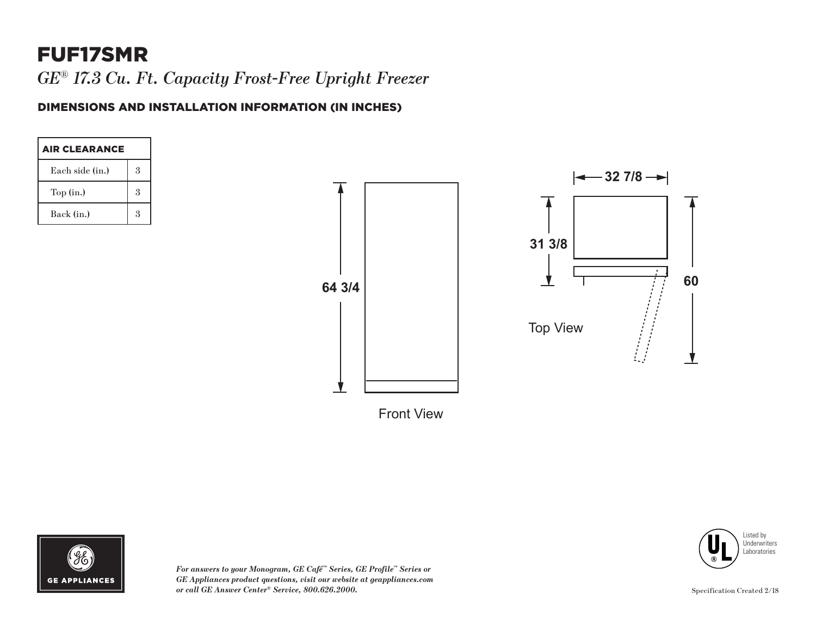# FUF17SMR

*GE*® *17.3 Cu. Ft. Capacity Frost-Free Upright Freezer*

#### DIMENSIONS AND INSTALLATION INFORMATION (IN INCHES)

| <b>AIR CLEARANCE</b> |                            |
|----------------------|----------------------------|
| Each side (in.)      | $\boldsymbol{\mathcal{S}}$ |
| Top (in.)            | 3                          |
| Back (in.)           | 3                          |



Front View



*For answers to your Monogram, GE Café™ Series, GE Profile™ Series or GE Appliances product questions, visit our website at geappliances.com or call GE Answer Center® Service, 800.626.2000.*

Listed by **Underwriters** Laboratories